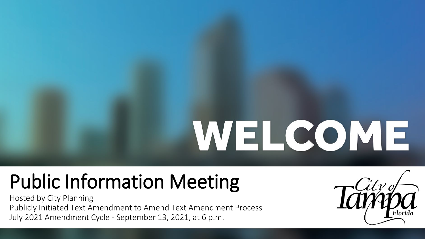## WEL COME

## Public Information Meeting

Hosted by City Planning Publicly Initiated Text Amendment to Amend Text Amendment Process July 2021 Amendment Cycle - September 13, 2021, at 6 p.m.

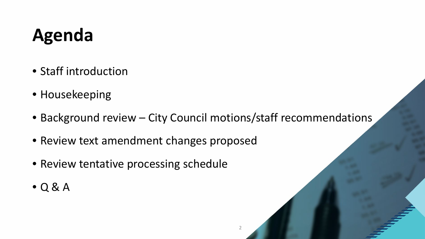## **Agenda**

- Staff introduction
- Housekeeping
- Background review City Council motions/staff recommendations
- Review text amendment changes proposed
- Review tentative processing schedule
- Q & A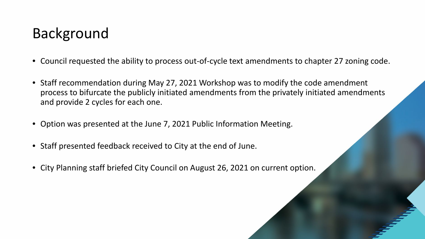#### Background

- Council requested the ability to process out-of-cycle text amendments to chapter 27 zoning code.
- Staff recommendation during May 27, 2021 Workshop was to modify the code amendment process to bifurcate the publicly initiated amendments from the privately initiated amendments and provide 2 cycles for each one.
- Option was presented at the June 7, 2021 Public Information Meeting.
- Staff presented feedback received to City at the end of June.
- City Planning staff briefed City Council on August 26, 2021 on current option.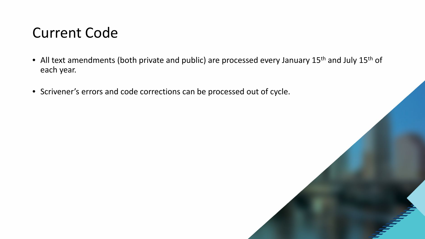#### Current Code

- All text amendments (both private and public) are processed every January 15<sup>th</sup> and July 15<sup>th</sup> of each year.
- Scrivener's errors and code corrections can be processed out of cycle.

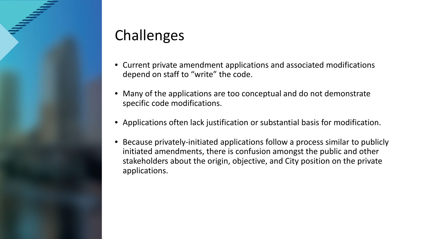#### Challenges

- Current private amendment applications and associated modifications depend on staff to "write" the code.
- Many of the applications are too conceptual and do not demonstrate specific code modifications.
- Applications often lack justification or substantial basis for modification.
- Because privately-initiated applications follow a process similar to publicly initiated amendments, there is confusion amongst the public and other stakeholders about the origin, objective, and City position on the private applications.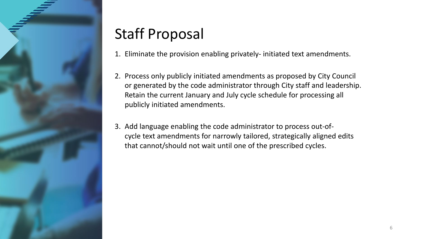

### Staff Proposal

- 1. Eliminate the provision enabling privately- initiated text amendments.
- 2. Process only publicly initiated amendments as proposed by City Council or generated by the code administrator through City staff and leadership. Retain the current January and July cycle schedule for processing all publicly initiated amendments.
- 3. Add language enabling the code administrator to process out-ofcycle text amendments for narrowly tailored, strategically aligned edits that cannot/should not wait until one of the prescribed cycles.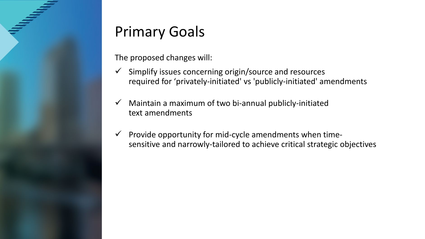#### Primary Goals

The proposed changes will:

- $\checkmark$  Simplify issues concerning origin/source and resources required for 'privately-initiated' vs 'publicly-initiated' amendments
- $\checkmark$  Maintain a maximum of two bi-annual publicly-initiated text amendments
- $\checkmark$  Provide opportunity for mid-cycle amendments when timesensitive and narrowly-tailored to achieve critical strategic objectives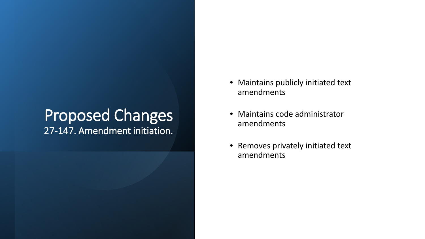#### Proposed Changes 27-147. Amendment initiation.

- Maintains publicly initiated text amendments
- Maintains code administrator amendments
- Removes privately initiated text amendments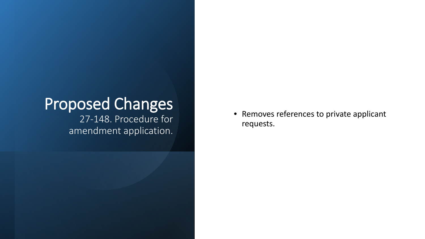#### Proposed Changes 27-148. Procedure for

amendment application.

• Removes references to private applicant requests.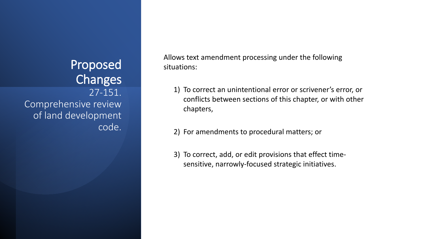#### Proposed Changes 27-151. Comprehensive review of land development code.

Allows text amendment processing under the following situations:

- 1) To correct an unintentional error or scrivener's error, or conflicts between sections of this chapter, or with other chapters,
- 2) For amendments to procedural matters; or
- 3) To correct, add, or edit provisions that effect timesensitive, narrowly-focused strategic initiatives.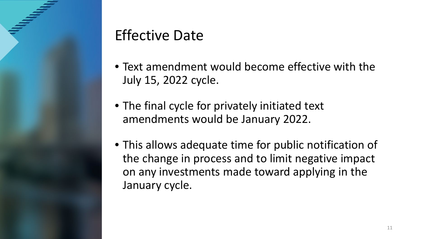#### Effective Date

- Text amendment would become effective with the July 15, 2022 cycle.
- The final cycle for privately initiated text amendments would be January 2022.
- This allows adequate time for public notification of the change in process and to limit negative impact on any investments made toward applying in the January cycle.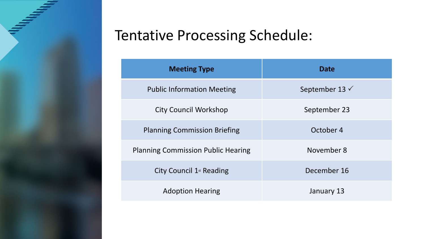#### Tentative Processing Schedule:

| <b>Meeting Type</b>                       | <b>Date</b>               |
|-------------------------------------------|---------------------------|
| <b>Public Information Meeting</b>         | September 13 $\checkmark$ |
| <b>City Council Workshop</b>              | September 23              |
| <b>Planning Commission Briefing</b>       | October 4                 |
| <b>Planning Commission Public Hearing</b> | November 8                |
| City Council $1st$ Reading                | December 16               |
| <b>Adoption Hearing</b>                   | January 13                |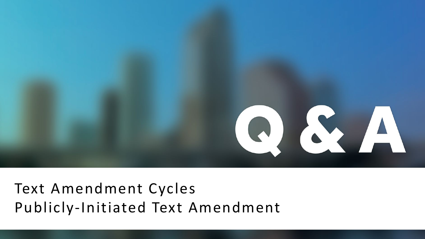

#### Text Amendment Cycles Publicly-Initiated Text Amendment